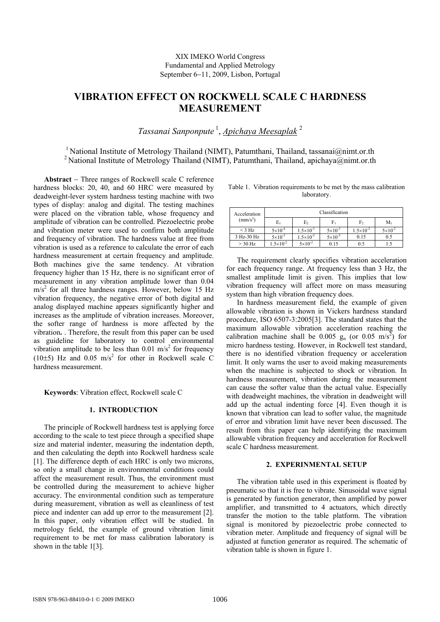# **VIBRATION EFFECT ON ROCKWELL SCALE C HARDNESS MEASUREMENT**

*Tassanai Sanponpute* 1, *Apichaya Meesaplak* <sup>2</sup>

<sup>1</sup> National Institute of Metrology Thailand (NIMT), Patumthani, Thailand, tassanai@nimt.or.th <sup>2</sup> National Institute of Metrology Thailand (NIMT), Patumthani, Thailand, apichaya@nimt.or.th

**Abstract** − Three ranges of Rockwell scale C reference hardness blocks: 20, 40, and 60 HRC were measured by deadweight-lever system hardness testing machine with two types of display: analog and digital. The testing machines were placed on the vibration table, whose frequency and amplitude of vibration can be controlled. Piezoelectric probe and vibration meter were used to confirm both amplitude and frequency of vibration. The hardness value at free from vibration is used as a reference to calculate the error of each hardness measurement at certain frequency and amplitude. Both machines give the same tendency. At vibration frequency higher than 15 Hz, there is no significant error of measurement in any vibration amplitude lower than 0.04  $\text{m/s}^2$  for all three hardness ranges. However, below 15 Hz vibration frequency, the negative error of both digital and analog displayed machine appears significantly higher and increases as the amplitude of vibration increases. Moreover, the softer range of hardness is more affected by the vibration**.** . Therefore, the result from this paper can be used as guideline for laboratory to control environmental vibration amplitude to be less than  $0.01 \text{ m/s}^2$  for frequency (10 $\pm$ 5) Hz and 0.05 m/s<sup>2</sup> for other in Rockwell scale C hardness measurement.

**Keywords**: Vibration effect, Rockwell scale C

### **1. INTRODUCTION**

The principle of Rockwell hardness test is applying force according to the scale to test piece through a specified shape size and material indenter, measuring the indentation depth, and then calculating the depth into Rockwell hardness scale [1]. The difference depth of each HRC is only two microns, so only a small change in environmental conditions could affect the measurement result. Thus, the environment must be controlled during the measurement to achieve higher accuracy. The environmental condition such as temperature during measurement, vibration as well as cleanliness of test piece and indenter can add up error to the measurement [2]. In this paper, only vibration effect will be studied. In metrology field, the example of ground vibration limit requirement to be met for mass calibration laboratory is shown in the table 1[3].

| Table 1. Vibration requirements to be met by the mass calibration |
|-------------------------------------------------------------------|
| laboratory.                                                       |

| Acceleration   | Classification       |                      |                    |                      |                    |
|----------------|----------------------|----------------------|--------------------|----------------------|--------------------|
| $\rm (mm/s^2)$ | Eı                   | E <sub>2</sub>       | F,                 | F2                   | $M_1$              |
| $<$ 3 Hz       | $5 \times 10^{-4}$   | $1.5 \times 10^{-3}$ | $5 \times 10^{-3}$ | $1.5 \times 10^{-2}$ | $5 \times 10^{-2}$ |
| 3 Hz-30 Hz     | $5 \times 10^{-3}$   | $1.5 \times 10^{-2}$ | $5 \times 10^{-2}$ | 0.15                 | 0.5                |
| $>$ 30 Hz      | $1.5 \times 10^{-2}$ | $5 \times 10^{-2}$   | 0.15               | 0.5                  |                    |

The requirement clearly specifies vibration acceleration for each frequency range. At frequency less than 3 Hz, the smallest amplitude limit is given. This implies that low vibration frequency will affect more on mass measuring system than high vibration frequency does.

In hardness measurement field, the example of given allowable vibration is shown in Vickers hardness standard procedure, ISO 6507-3:2005[3]. The standard states that the maximum allowable vibration acceleration reaching the calibration machine shall be 0.005  $g_n$  (or 0.05 m/s<sup>2</sup>) for micro hardness testing. However, in Rockwell test standard, there is no identified vibration frequency or acceleration limit. It only warns the user to avoid making measurements when the machine is subjected to shock or vibration. In hardness measurement, vibration during the measurement can cause the softer value than the actual value. Especially with deadweight machines, the vibration in deadweight will add up the actual indenting force [4]. Even though it is known that vibration can lead to softer value, the magnitude of error and vibration limit have never been discussed. The result from this paper can help identifying the maximum allowable vibration frequency and acceleration for Rockwell scale C hardness measurement.

## **2. EXPERINMENTAL SETUP**

The vibration table used in this experiment is floated by pneumatic so that it is free to vibrate. Sinusoidal wave signal is generated by function generator, then amplified by power amplifier, and transmitted to 4 actuators, which directly transfer the motion to the table platform. The vibration signal is monitored by piezoelectric probe connected to vibration meter. Amplitude and frequency of signal will be adjusted at function generator as required. The schematic of vibration table is shown in figure 1.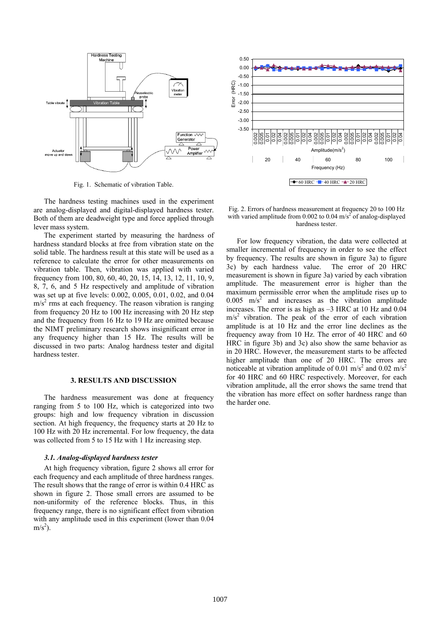

Fig. 1. Schematic of vibration Table.

The hardness testing machines used in the experiment are analog-displayed and digital-displayed hardness tester. Both of them are deadweight type and force applied through lever mass system.

The experiment started by measuring the hardness of hardness standard blocks at free from vibration state on the solid table. The hardness result at this state will be used as a reference to calculate the error for other measurements on vibration table. Then, vibration was applied with varied frequency from 100, 80, 60, 40, 20, 15, 14, 13, 12, 11, 10, 9, 8, 7, 6, and 5 Hz respectively and amplitude of vibration was set up at five levels: 0.002, 0.005, 0.01, 0.02, and 0.04  $m/s<sup>2</sup>$  rms at each frequency. The reason vibration is ranging from frequency 20 Hz to 100 Hz increasing with 20 Hz step and the frequency from 16 Hz to 19 Hz are omitted because the NIMT preliminary research shows insignificant error in any frequency higher than 15 Hz. The results will be discussed in two parts: Analog hardness tester and digital hardness tester.

## **3. RESULTS AND DISCUSSION**

The hardness measurement was done at frequency ranging from 5 to 100 Hz, which is categorized into two groups: high and low frequency vibration in discussion section. At high frequency, the frequency starts at 20 Hz to 100 Hz with 20 Hz incremental. For low frequency, the data was collected from 5 to 15 Hz with 1 Hz increasing step.

#### *3.1. Analog-displayed hardness tester*

At high frequency vibration, figure 2 shows all error for each frequency and each amplitude of three hardness ranges. The result shows that the range of error is within 0.4 HRC as shown in figure 2. Those small errors are assumed to be non-uniformity of the reference blocks. Thus, in this frequency range, there is no significant effect from vibration with any amplitude used in this experiment (lower than  $0.04$ )  $m/s<sup>2</sup>$ ).



Fig. 2. Errors of hardness measurement at frequency 20 to 100 Hz with varied amplitude from 0.002 to 0.04  $\text{m/s}^2$  of analog-displayed hardness tester.

For low frequency vibration, the data were collected at smaller incremental of frequency in order to see the effect by frequency. The results are shown in figure 3a) to figure 3c) by each hardness value. The error of 20 HRC measurement is shown in figure 3a) varied by each vibration amplitude. The measurement error is higher than the maximum permissible error when the amplitude rises up to  $0.005$  m/s<sup>2</sup> and increases as the vibration amplitude increases. The error is as high as –3 HRC at 10 Hz and 0.04  $\text{m/s}^2$  vibration. The peak of the error of each vibration amplitude is at 10 Hz and the error line declines as the frequency away from 10 Hz. The error of 40 HRC and 60 HRC in figure 3b) and 3c) also show the same behavior as in 20 HRC. However, the measurement starts to be affected higher amplitude than one of 20 HRC. The errors are noticeable at vibration amplitude of 0.01 m/s<sup>2</sup> and 0.02 m/s<sup>2</sup> for 40 HRC and 60 HRC respectively. Moreover, for each vibration amplitude, all the error shows the same trend that the vibration has more effect on softer hardness range than the harder one.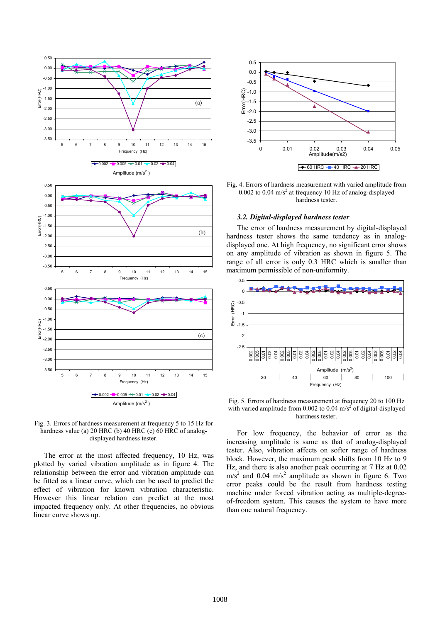



The error at the most affected frequency, 10 Hz, was plotted by varied vibration amplitude as in figure 4. The relationship between the error and vibration amplitude can be fitted as a linear curve, which can be used to predict the effect of vibration for known vibration characteristic. However this linear relation can predict at the most impacted frequency only. At other frequencies, no obvious linear curve shows up.



Fig. 4. Errors of hardness measurement with varied amplitude from 0.002 to 0.04 m/s<sup>2</sup> at frequency 10 Hz of analog-displayed hardness tester.

#### *3.2. Digital-displayed hardness tester*

The error of hardness measurement by digital-displayed hardness tester shows the same tendency as in analogdisplayed one. At high frequency, no significant error shows on any amplitude of vibration as shown in figure 5. The range of all error is only 0.3 HRC which is smaller than maximum permissible of non-uniformity.



Fig. 5. Errors of hardness measurement at frequency 20 to 100 Hz with varied amplitude from 0.002 to 0.04  $\text{m/s}^2$  of digital-displayed hardness tester.

For low frequency, the behavior of error as the increasing amplitude is same as that of analog-displayed tester. Also, vibration affects on softer range of hardness block. However, the maximum peak shifts from 10 Hz to 9 Hz, and there is also another peak occurring at 7 Hz at 0.02  $\text{m/s}^2$  and 0.04 m/s<sup>2</sup> amplitude as shown in figure 6. Two error peaks could be the result from hardness testing machine under forced vibration acting as multiple-degreeof-freedom system. This causes the system to have more than one natural frequency.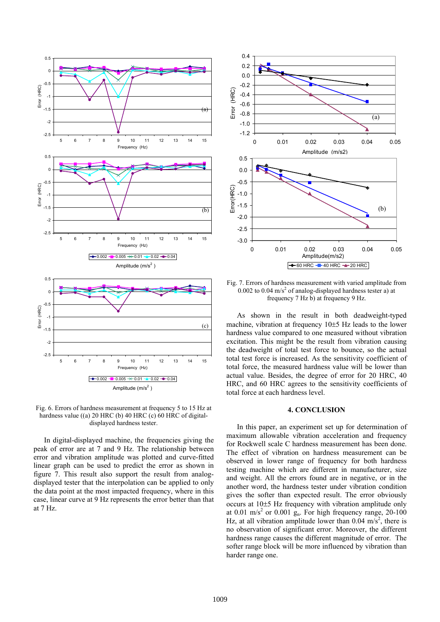



In digital-displayed machine, the frequencies giving the peak of error are at 7 and 9 Hz. The relationship between error and vibration amplitude was plotted and curve-fitted linear graph can be used to predict the error as shown in figure 7. This result also support the result from analogdisplayed tester that the interpolation can be applied to only the data point at the most impacted frequency, where in this case, linear curve at 9 Hz represents the error better than that at 7 Hz.



Fig. 7. Errors of hardness measurement with varied amplitude from 0.002 to 0.04 m/s<sup>2</sup> of analog-displayed hardness tester a) at frequency 7 Hz b) at frequency 9 Hz.

As shown in the result in both deadweight-typed machine, vibration at frequency 10±5 Hz leads to the lower hardness value compared to one measured without vibration excitation. This might be the result from vibration causing the deadweight of total test force to bounce, so the actual total test force is increased. As the sensitivity coefficient of total force, the measured hardness value will be lower than actual value. Besides, the degree of error for 20 HRC, 40 HRC, and 60 HRC agrees to the sensitivity coefficients of total force at each hardness level.

## **4. CONCLUSION**

In this paper, an experiment set up for determination of maximum allowable vibration acceleration and frequency for Rockwell scale C hardness measurement has been done. The effect of vibration on hardness measurement can be observed in lower range of frequency for both hardness testing machine which are different in manufacturer, size and weight. All the errors found are in negative, or in the another word, the hardness tester under vibration condition gives the softer than expected result. The error obviously occurs at 10±5 Hz frequency with vibration amplitude only at  $0.01 \text{ m/s}^2$  or  $0.001 \text{ g}_n$ . For high frequency range, 20-100 Hz, at all vibration amplitude lower than  $0.04 \text{ m/s}^2$ , there is no observation of significant error. Moreover, the different hardness range causes the different magnitude of error. The softer range block will be more influenced by vibration than harder range one.